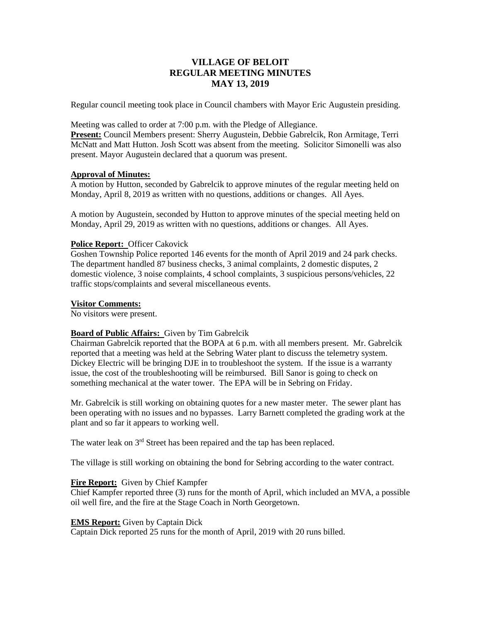# **VILLAGE OF BELOIT REGULAR MEETING MINUTES MAY 13, 2019**

Regular council meeting took place in Council chambers with Mayor Eric Augustein presiding.

Meeting was called to order at 7:00 p.m. with the Pledge of Allegiance.

**Present:** Council Members present: Sherry Augustein, Debbie Gabrelcik, Ron Armitage, Terri McNatt and Matt Hutton. Josh Scott was absent from the meeting. Solicitor Simonelli was also present. Mayor Augustein declared that a quorum was present.

# **Approval of Minutes:**

A motion by Hutton, seconded by Gabrelcik to approve minutes of the regular meeting held on Monday, April 8, 2019 as written with no questions, additions or changes. All Ayes.

A motion by Augustein, seconded by Hutton to approve minutes of the special meeting held on Monday, April 29, 2019 as written with no questions, additions or changes. All Ayes.

# **Police Report:** Officer Cakovick

Goshen Township Police reported 146 events for the month of April 2019 and 24 park checks. The department handled 87 business checks, 3 animal complaints, 2 domestic disputes, 2 domestic violence, 3 noise complaints, 4 school complaints, 3 suspicious persons/vehicles, 22 traffic stops/complaints and several miscellaneous events.

## **Visitor Comments:**

No visitors were present.

# **Board of Public Affairs:** Given by Tim Gabrelcik

Chairman Gabrelcik reported that the BOPA at 6 p.m. with all members present. Mr. Gabrelcik reported that a meeting was held at the Sebring Water plant to discuss the telemetry system. Dickey Electric will be bringing DJE in to troubleshoot the system. If the issue is a warranty issue, the cost of the troubleshooting will be reimbursed. Bill Sanor is going to check on something mechanical at the water tower. The EPA will be in Sebring on Friday.

Mr. Gabrelcik is still working on obtaining quotes for a new master meter. The sewer plant has been operating with no issues and no bypasses. Larry Barnett completed the grading work at the plant and so far it appears to working well.

The water leak on 3<sup>rd</sup> Street has been repaired and the tap has been replaced.

The village is still working on obtaining the bond for Sebring according to the water contract.

# **Fire Report:** Given by Chief Kampfer

Chief Kampfer reported three (3) runs for the month of April, which included an MVA, a possible oil well fire, and the fire at the Stage Coach in North Georgetown.

# **EMS Report:** Given by Captain Dick

Captain Dick reported 25 runs for the month of April, 2019 with 20 runs billed.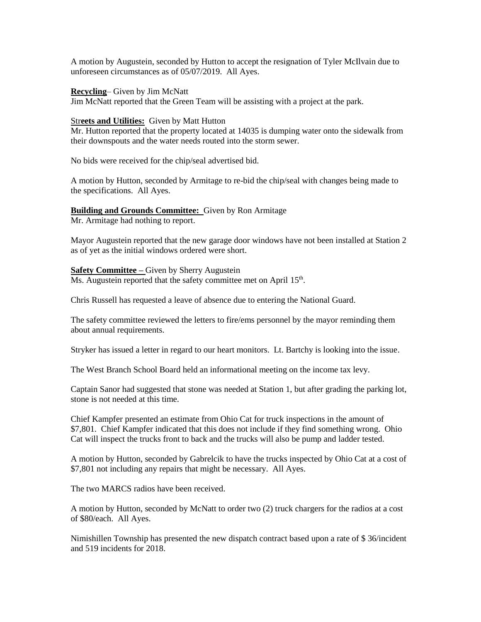A motion by Augustein, seconded by Hutton to accept the resignation of Tyler McIlvain due to unforeseen circumstances as of 05/07/2019. All Ayes.

#### **Recycling**– Given by Jim McNatt

Jim McNatt reported that the Green Team will be assisting with a project at the park.

## Str**eets and Utilities:** Given by Matt Hutton

Mr. Hutton reported that the property located at 14035 is dumping water onto the sidewalk from their downspouts and the water needs routed into the storm sewer.

No bids were received for the chip/seal advertised bid.

A motion by Hutton, seconded by Armitage to re-bid the chip/seal with changes being made to the specifications. All Ayes.

# **Building and Grounds Committee:** Given by Ron Armitage

Mr. Armitage had nothing to report.

Mayor Augustein reported that the new garage door windows have not been installed at Station 2 as of yet as the initial windows ordered were short.

## **Safety Committee –** Given by Sherry Augustein

Ms. Augustein reported that the safety committee met on April 15<sup>th</sup>.

Chris Russell has requested a leave of absence due to entering the National Guard.

The safety committee reviewed the letters to fire/ems personnel by the mayor reminding them about annual requirements.

Stryker has issued a letter in regard to our heart monitors. Lt. Bartchy is looking into the issue.

The West Branch School Board held an informational meeting on the income tax levy.

Captain Sanor had suggested that stone was needed at Station 1, but after grading the parking lot, stone is not needed at this time.

Chief Kampfer presented an estimate from Ohio Cat for truck inspections in the amount of \$7,801. Chief Kampfer indicated that this does not include if they find something wrong. Ohio Cat will inspect the trucks front to back and the trucks will also be pump and ladder tested.

A motion by Hutton, seconded by Gabrelcik to have the trucks inspected by Ohio Cat at a cost of \$7,801 not including any repairs that might be necessary. All Ayes.

The two MARCS radios have been received.

A motion by Hutton, seconded by McNatt to order two (2) truck chargers for the radios at a cost of \$80/each. All Ayes.

Nimishillen Township has presented the new dispatch contract based upon a rate of \$ 36/incident and 519 incidents for 2018.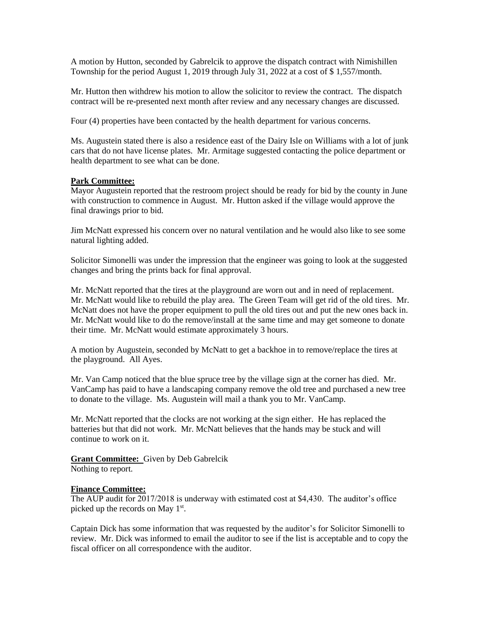A motion by Hutton, seconded by Gabrelcik to approve the dispatch contract with Nimishillen Township for the period August 1, 2019 through July 31, 2022 at a cost of \$ 1,557/month.

Mr. Hutton then withdrew his motion to allow the solicitor to review the contract. The dispatch contract will be re-presented next month after review and any necessary changes are discussed.

Four (4) properties have been contacted by the health department for various concerns.

Ms. Augustein stated there is also a residence east of the Dairy Isle on Williams with a lot of junk cars that do not have license plates. Mr. Armitage suggested contacting the police department or health department to see what can be done.

# **Park Committee:**

Mayor Augustein reported that the restroom project should be ready for bid by the county in June with construction to commence in August. Mr. Hutton asked if the village would approve the final drawings prior to bid.

Jim McNatt expressed his concern over no natural ventilation and he would also like to see some natural lighting added.

Solicitor Simonelli was under the impression that the engineer was going to look at the suggested changes and bring the prints back for final approval.

Mr. McNatt reported that the tires at the playground are worn out and in need of replacement. Mr. McNatt would like to rebuild the play area. The Green Team will get rid of the old tires. Mr. McNatt does not have the proper equipment to pull the old tires out and put the new ones back in. Mr. McNatt would like to do the remove/install at the same time and may get someone to donate their time. Mr. McNatt would estimate approximately 3 hours.

A motion by Augustein, seconded by McNatt to get a backhoe in to remove/replace the tires at the playground. All Ayes.

Mr. Van Camp noticed that the blue spruce tree by the village sign at the corner has died. Mr. VanCamp has paid to have a landscaping company remove the old tree and purchased a new tree to donate to the village. Ms. Augustein will mail a thank you to Mr. VanCamp.

Mr. McNatt reported that the clocks are not working at the sign either. He has replaced the batteries but that did not work. Mr. McNatt believes that the hands may be stuck and will continue to work on it.

**Grant Committee:** Given by Deb Gabrelcik Nothing to report.

#### **Finance Committee:**

The AUP audit for 2017/2018 is underway with estimated cost at \$4,430. The auditor's office picked up the records on May  $1<sup>st</sup>$ .

Captain Dick has some information that was requested by the auditor's for Solicitor Simonelli to review. Mr. Dick was informed to email the auditor to see if the list is acceptable and to copy the fiscal officer on all correspondence with the auditor.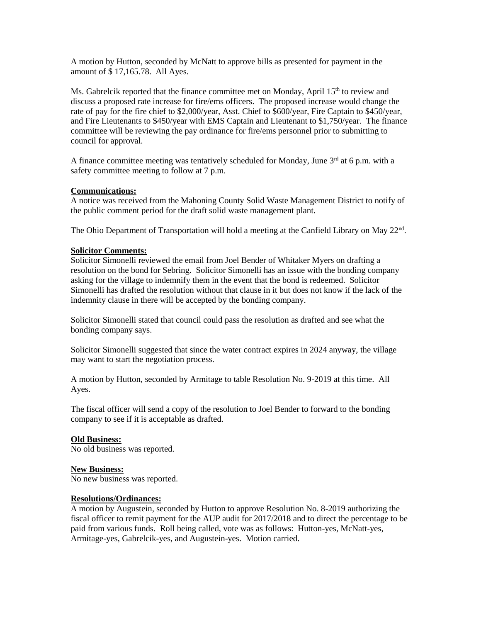A motion by Hutton, seconded by McNatt to approve bills as presented for payment in the amount of \$ 17,165.78. All Ayes.

Ms. Gabrelcik reported that the finance committee met on Monday, April  $15<sup>th</sup>$  to review and discuss a proposed rate increase for fire/ems officers. The proposed increase would change the rate of pay for the fire chief to \$2,000/year, Asst. Chief to \$600/year, Fire Captain to \$450/year, and Fire Lieutenants to \$450/year with EMS Captain and Lieutenant to \$1,750/year. The finance committee will be reviewing the pay ordinance for fire/ems personnel prior to submitting to council for approval.

A finance committee meeting was tentatively scheduled for Monday, June  $3<sup>rd</sup>$  at 6 p.m. with a safety committee meeting to follow at 7 p.m.

## **Communications:**

A notice was received from the Mahoning County Solid Waste Management District to notify of the public comment period for the draft solid waste management plant.

The Ohio Department of Transportation will hold a meeting at the Canfield Library on May 22<sup>nd</sup>.

## **Solicitor Comments:**

Solicitor Simonelli reviewed the email from Joel Bender of Whitaker Myers on drafting a resolution on the bond for Sebring. Solicitor Simonelli has an issue with the bonding company asking for the village to indemnify them in the event that the bond is redeemed. Solicitor Simonelli has drafted the resolution without that clause in it but does not know if the lack of the indemnity clause in there will be accepted by the bonding company.

Solicitor Simonelli stated that council could pass the resolution as drafted and see what the bonding company says.

Solicitor Simonelli suggested that since the water contract expires in 2024 anyway, the village may want to start the negotiation process.

A motion by Hutton, seconded by Armitage to table Resolution No. 9-2019 at this time. All Ayes.

The fiscal officer will send a copy of the resolution to Joel Bender to forward to the bonding company to see if it is acceptable as drafted.

# **Old Business:**

No old business was reported.

# **New Business:**

No new business was reported.

#### **Resolutions/Ordinances:**

A motion by Augustein, seconded by Hutton to approve Resolution No. 8-2019 authorizing the fiscal officer to remit payment for the AUP audit for 2017/2018 and to direct the percentage to be paid from various funds. Roll being called, vote was as follows: Hutton-yes, McNatt-yes, Armitage-yes, Gabrelcik-yes, and Augustein-yes. Motion carried.